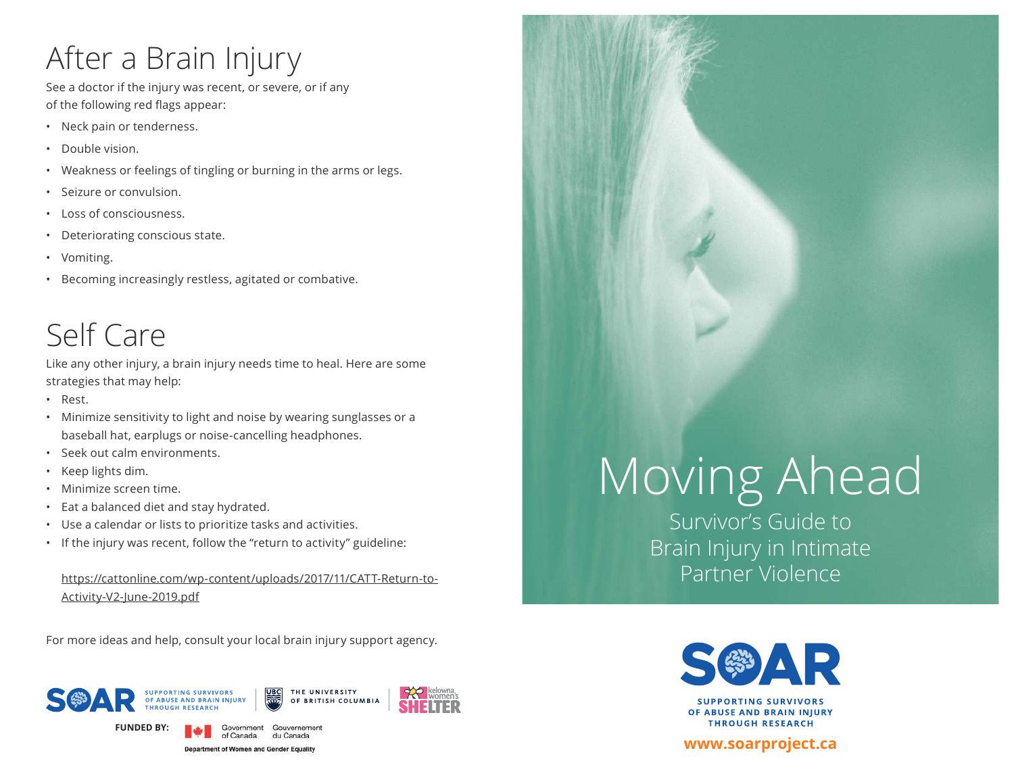## After a Brain Injury

See a doctor if the injury was recent, or severe, or if any of the following red flags appear:

- Neck pain or tenderness.
- Double vision.
- Weakness or feelings of tingling or burning in the arms or legs.
- Seizure or convulsion.
- Loss of consciousness.
- Deteriorating conscious state.
- Vomiting.
- Becoming increasingly restless, agitated or combative.

## Self Care

Like any other injury, a brain injury needs time to heal. Here are some strategies that may help:

- Rest.
- Minimize sensitivity to light and noise by wearing sunglasses or a baseball hat, earplugs or noise-cancelling headphones.
- Seek out calm environments.
- Keep lights dim.
- Minimize screen time.
- Eat a balanced diet and stay hydrated.
- Use a calendar or lists to prioritize tasks and activities.
- If the injury was recent, follow the "return to activity" guideline:

#### https://cattonline.com/wp-content/uploads/2017/11/CATT-Return-to-Activity-V2-June-2019.pdf

For more ideas and help, consult your local brain injury support agency.



# Moving Ahead

Survivor's Guide to Brain Injury in Intimate Partner Violence



**SUPPORTING SURVIVORS** OF ABUSE AND BRAIN INJURY **THROUGH RESEARCH** 

#### **www.soarproject.ca**